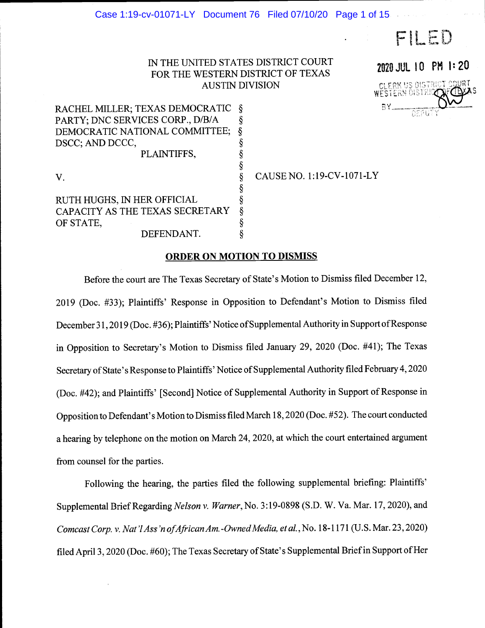IN THE UNITED STATES DISTRICT COURT FOR THE WESTERN DISTRICT OF TEXAS AUSTIN DIVISION

§

 $\frac{\S}{\S}$ 

ş  $\S$ 



FILED

V.

DSCC; AND DCCC,

RUTH HUGHS, IN HER OFFICIAL CAPACITY AS THE TEXAS SECRETARY  $\S$  OF STATE, OF STATE, DEFENDANT.

RACHEL MILLER; TEXAS DEMOCRATIC

PARTY; DNC SERVICES CORP., D/B/A  $\S$ <br>DEMOCRATIC NATIONAL COMMITTEE;  $\S$ DEMOCRATIC NATIONAL COMMITTEE;  $\S$ <br>DSCC; AND DCCC,  $\S$ 

PLAINTIFFS,

CAUSE NO. 1:19-CV-1071-LY

#### ORDER ON MOTION TO DISMISS

 $\hat{\S}$ 

Before the court are The Texas Secretary of State's Motion to Dismiss filed December 12, 2019 (Doc. #33); Plaintiffs' Response in Opposition to Defendant's Motion to Dismiss filed December 31,2019 (Doe. #36); Plaintiffs' Notice of Supplemental Authority in Support of Response in Opposition to Secretary's Motion to Dismiss filed January 29, 2020 (Doc. #41); The Texas Secretary of State's Response to Plaintiffs' Notice of Supplemental Authority filed February 4,2020 (Doe. #42); and Plaintiffs' [Second] Notice of Supplemental Authority in Support of Response in Opposition to Defendant's Motion to Dismiss filed March 18, 2020 (Doe. #52). The court conducted a hearing by telephone on the motion on March 24, 2020, at which the court entertained argument from counsel for the parties.

Following the hearing, the parties filed the following supplemental briefing: Plaintiffs' Supplemental Brief Regarding Nelson v. Warner, No. 3:19-0898 (S.D. W. Va. Mar. 17, 2020), and Comcast Corp. v. Nat 'lAss 'n ofAfrican Am. -Owned Media, et al. ,No. 18-1171 (U.S. Mar. 23, 2020) filed April 3, 2020 (Doe. #60); The Texas Secretary of State's Supplemental Brief in Support of Her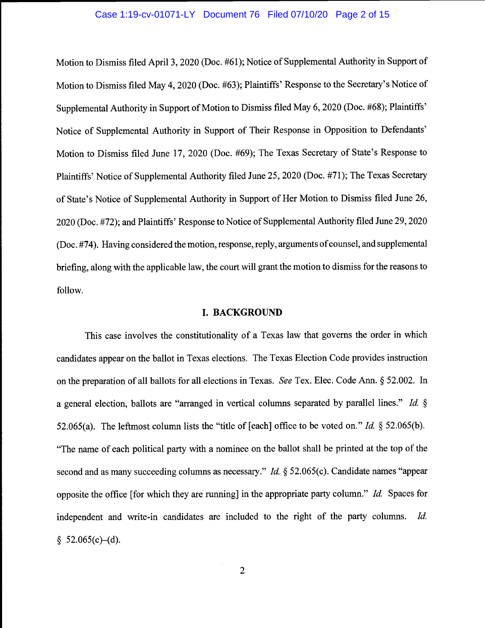#### Case 1:19-cv-01071-LY Document 76 Filed 07/10/20 Page 2 of 15

Motion to Dismiss filed April 3, 2020 (Doc. #61); Notice of Supplemental Authority in Support of Motion to Dismiss filed May 4, 2020 (Doc. #63); Plaintiffs' Response to the Secretary's Notice of Supplemental Authority in Support of Motion to Dismiss filed May 6, 2020 (Doc. #68); Plaintiffs' Notice of Supplemental Authority in Support of Their Response in Opposition to Defendants' Motion to Dismiss filed June 17, 2020 (Doc. #69); The Texas Secretary of State's Response to Plaintiffs' Notice of Supplemental Authority filed June 25, 2020 (Doc. #71); The Texas Secretary of State's Notice of Supplemental Authority in Support of Her Motion to Dismiss filed June 26, 2020 (Doc. #72); and Plaintiffs' Response to Notice of Supplemental Authority filed June 29, 2020 (Doc. #74). Having considered the motion, response, reply, arguments of counsel, and supplemental briefing, along with the applicable law, the court will grant the motion to dismiss for the reasons to follow.

#### I. BACKGROUND

This case involves the constitutionality of a Texas law that governs the order in which candidates appear on the ballot in Texas elections. The Texas Election Code provides instruction on the preparation of all ballots for all elections in Texas. See Tex. Elec. Code Ann. § 52.002. In a general election, ballots are "arranged in vertical columns separated by parallel lines." Id. § 52.065(a). The leftmost column lists the "title of [each] office to be voted on." Id.  $\S$  52.065(b). "The name of each political party with a nominee on the ballot shall be printed at the top of the second and as many succeeding columns as necessary." *Id.* § 52.065(c). Candidate names "appear opposite the office [for which they are running] in the appropriate party column." Id. Spaces for independent and write-in candidates are included to the right of the party columns. Id.  $§$  52.065(c)–(d).

2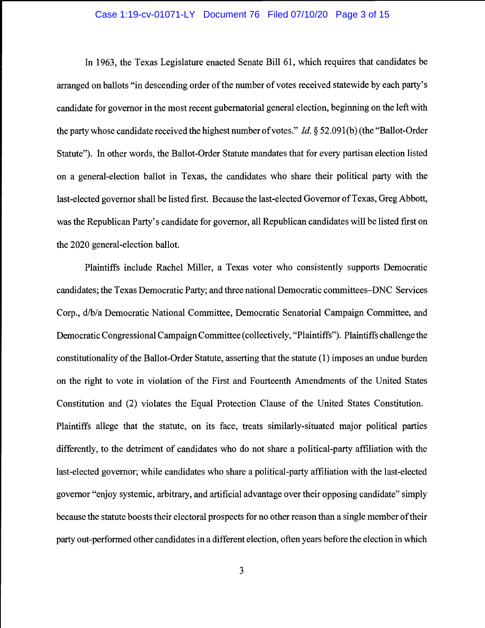### Case 1:19-cv-01071-LY Document 76 Filed 07/10/20 Page 3 of 15

In 1963, the Texas Legislature enacted Senate Bill 61, which requires that candidates be arranged on ballots "in descending order of the number of votes received statewide by each party's candidate for governor in the most recent gubernatorial general election, beginning on the left with the party whose candidate received the highest number of votes." *Id.*  $\S$  52.091(b) (the "Ballot-Order Statute"). In other words, the Ballot-Order Statute mandates that for every partisan election listed on a general-election ballot in Texas, the candidates who share their political party with the last-elected governor shall be listed first. Because the last-elected Governor of Texas, Greg Abbott, was the Republican Party's candidate for governor, all Republican candidates will be listed first on the 2020 general-election ballot.

Plaintiffs include Rachel Miller, a Texas voter who consistently supports Democratic candidates; the Texas Democratic Party; and three national Democratic committees-DNC Services Corp., d/b/a Democratic National Committee, Democratic Senatorial Campaign Committee, and Democratic Congressional Campaign Committee (collectively, "Plaintiffs"). Plaintiffs challenge the constitutionality of the Ballot-Order Statute, asserting that the statute (1) imposes an undue burden on the right to vote in violation of the First and Fourteenth Amendments of the United States Constitution and (2) violates the Equal Protection Clause of the United States Constitution. Plaintiffs allege that the statute, on its face, treats similarly-situated major political parties differently, to the detriment of candidates who do not share a political-party affiliation with the last-elected governor; while candidates who share a political-party affiliation with the last-elected governor "enjoy systemic, arbitrary, and artificial advantage over their opposing candidate" simply because the statute boosts their electoral prospects for no other reason than a single member of their party out-performed other candidates in a different election, often years before the election in which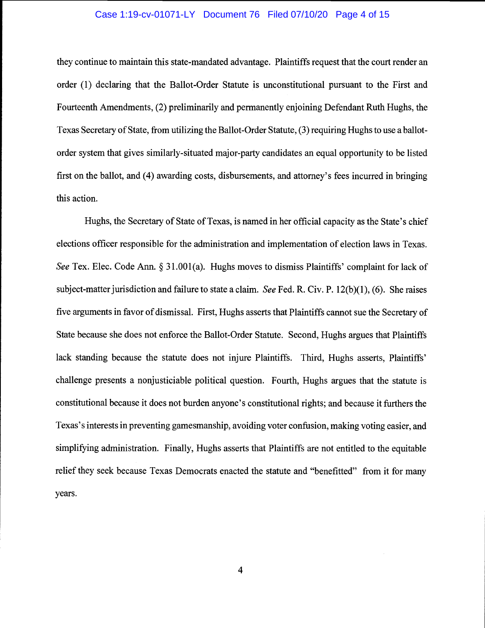### Case 1:19-cv-01071-LY Document 76 Filed 07/10/20 Page 4 of 15

they continue to maintain this state-mandated advantage. Plaintiffs request that the court render an order (1) declaring that the Ballot-Order Statute is unconstitutional pursuant to the First and Fourteenth Amendments, (2) preliminarily and permanently enjoining Defendant Ruth Hughs, the Texas Secretary of State, from utilizing the Ballot-Order Statute, (3) requiring Hughs to use a ballotorder system that gives similarly-situated major-party candidates an equal opportunity to be listed first on the ballot, and (4) awarding costs, disbursements, and attorney's fees incurred in bringing this action.

Hughs, the Secretary of State of Texas, is named in her official capacity as the State's chief elections officer responsible for the administration and implementation of election laws in Texas. See Tex. Elec. Code Ann. § 31.001(a). Hughs moves to dismiss Plaintiffs' complaint for lack of subject-matter jurisdiction and failure to state a claim. See Fed. R. Civ. P.  $12(b)(1)$ , (6). She raises five arguments in favor of dismissal. First, Hughs asserts that Plaintiffs cannot sue the Secretary of State because she does not enforce the Ballot-Order Statute. Second, Hughs argues that Plaintiffs lack standing because the statute does not injure Plaintiffs. Third, Hughs asserts, Plaintiffs' challenge presents a nonjusticiable political question. Fourth, Hughs argues that the statute is constitutional because it does not burden anyone's constitutional rights; and because it furthers the Texas's interests in preventing gamesmanship, avoiding voter confusion, making voting easier, and simplifying administration. Finally, Hughs asserts that Plaintiffs are not entitled to the equitable relief they seek because Texas Democrats enacted the statute and "benefitted" from it for many years.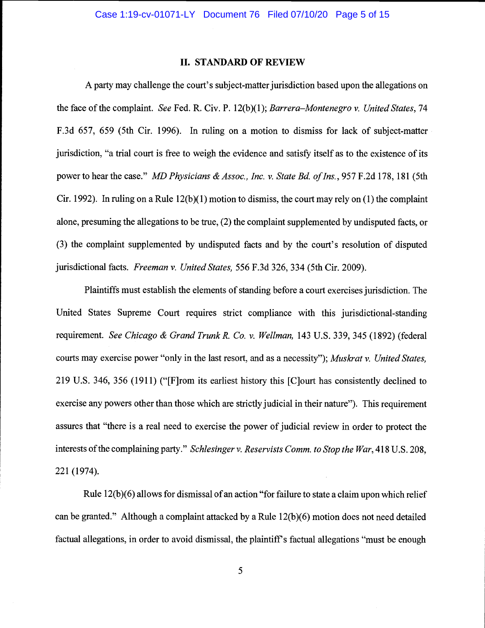#### II. STANDARD OF REVIEW

A party may challenge the court's subject-matter jurisdiction based upon the allegations on the face of the complaint. See Fed. R. Civ. P. 12(b)(1); Barrera–Montenegro v. United States, 74 F.3d 657, 659 (5th Cir. 1996). In ruling on a motion to dismiss for lack of subject-matter jurisdiction, "a trial court is free to weigh the evidence and satisfy itself as to the existence of its power to hear the case." MD Physicians & Assoc., Inc. v. State Bd. of Ins., 957 F.2d 178, 181 (5th Cir. 1992). In ruling on a Rule 12(b)(1) motion to dismiss, the court may rely on (1) the complaint alone, presuming the allegations to be true, (2) the complaint supplemented by undisputed facts, or (3) the complaint supplemented by undisputed facts and by the court's resolution of disputed jurisdictional facts. Freeman v. United States, 556 F.3d 326, 334 (5th Cir. 2009).

Plaintiffs must establish the elements of standing before a court exercises jurisdiction. The United States Supreme Court requires strict compliance with this jurisdictional-standing requirement. See Chicago & Grand Trunk R. Co. v. Wellman, 143 U.S. 339, 345 (1892) (federal courts may exercise power "only in the last resort, and as a necessity"); Muskrat v. United States, 219 U.S. 346, 356 (1911) ("[F]rom its earliest history this [C]ourt has consistently declined to exercise any powers other than those which are strictly judicial in their nature"). This requirement assures that "there is a real need to exercise the power of judicial review in order to protect the interests of the complaining party." Schlesinger v. Reservists Comm. to Stop the War, 418 U.S. 208, 221 (1974).

Rule  $12(b)(6)$  allows for dismissal of an action "for failure to state a claim upon which relief can be granted." Although a complaint attacked by a Rule 12(b)(6) motion does not need detailed factual allegations, in order to avoid dismissal, the plaintiff's factual allegations "must be enough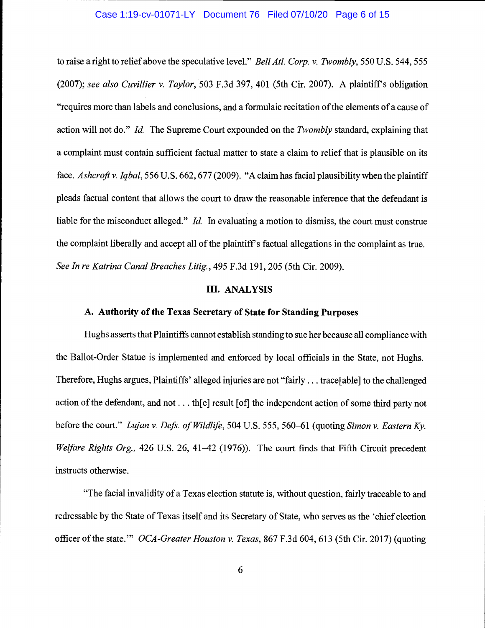#### Case 1:19-cv-01071-LY Document 76 Filed 07/10/20 Page 6 of 15

to raise a right to relief above the speculative level." Bell Atl. Corp. v. Twombly, 550 U.S. 544, 555 (2007); see also Cuvillier v. Taylor, 503 F.3d 397, 401 (5th Cir. 2007). A plaintiff's obligation "requires more than labels and conclusions, and a formulaic recitation of the elements of a cause of action will not do." Id. The Supreme Court expounded on the Twombly standard, explaining that a complaint must contain sufficient factual matter to state a claim to relief that is plausible on its face. Ashcroft v. Iqbal, 556 U.S. 662, 677 (2009). "A claim has facial plausibility when the plaintiff pleads factual content that allows the court to draw the reasonable inference that the defendant is liable for the misconduct alleged." *Id.* In evaluating a motion to dismiss, the court must construe the complaint liberally and accept all of the plaintiff's factual allegations in the complaint as true. See In re Katrina Canal Breaches Litig., 495 F.3d 191, 205 (5th Cir. 2009).

#### III. ANALYSIS

# A. Authority of the Texas Secretary of State for Standing Purposes

Hughs asserts that Plaintiffs cannot establish standing to sue her because all compliance with the Ballot-Order Statue is implemented and enforced by local officials in the State, not Hughs. Therefore, Hughs argues, Plaintiffs' alleged injuries are not "fairly. . . trace[able] to the challenged action of the defendant, and not. . . th[e] result [of] the independent action of some third party not before the court." Lujan v. Defs. of Wildlife, 504 U.S. 555, 560–61 (quoting Simon v. Eastern Ky. Welfare Rights Org., 426 U.S. 26, 41–42 (1976)). The court finds that Fifth Circuit precedent instructs otherwise.

"The facial invalidity of a Texas election statute is, without question, fairly traceable to and redres sable by the State of Texas itself and its Secretary of State, who serves as the 'chief election officer of the state." OCA-Greater Houston v. Texas, 867 F.3d 604, 613 (5th Cir. 2017) (quoting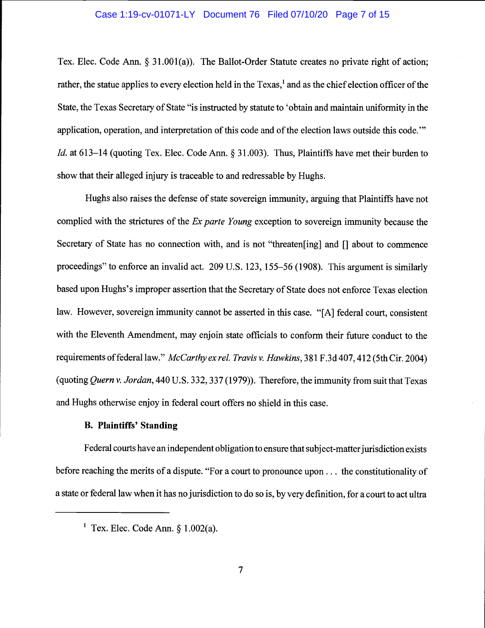#### Case 1:19-cv-01071-LY Document 76 Filed 07/10/20 Page 7 of 15

Tex. Elec. Code Ann. § 31.001(a)). The Ballot-Order Statute creates no private right of action; rather, the statue applies to every election held in the Texas,<sup>1</sup> and as the chief election officer of the State, the Texas Secretary of State "is instructed by statute to 'obtain and maintain uniformity in the application, operation, and interpretation of this code and of the election laws outside this code." Id. at 613–14 (quoting Tex. Elec. Code Ann. § 31.003). Thus, Plaintiffs have met their burden to show that their alleged injury is traceable to and redressable by Hughs.

Hughs also raises the defense of state sovereign immunity, arguing that Plaintiffs have not complied with the strictures of the Ex parte Young exception to sovereign immunity because the Secretary of State has no connection with, and is not "threaten[ing] and [] about to commence proceedings" to enforce an invalid act. 209 U.S. 123, 155-56 (1908). This argument is similarly based upon Hughs's improper assertion that the Secretary of State does not enforce Texas election law. However, sovereign immunity cannot be asserted in this case. "[A] federal court, consistent with the Eleventh Amendment, may enjoin state officials to conform their future conduct to the requirements of federal law." McCarthy ex rel. Travis v. Hawkins, 381 F.3d 407, 412 (5th Cir. 2004) (quoting Quern v. Jordan, 440 U.S. 332,337(1979)). Therefore, the immunity from suit that Texas and Hughs otherwise enjoy in federal court offers no shield in this case.

# B. Plaintiffs' Standing

Federal courts have an independent obligation to ensure that subject-matter jurisdiction exists before reaching the merits of a dispute. "For a court to pronounce upon... the constitutionality of a state or federal law when it has no jurisdiction to do so is, by very definition, for a court to act ultra

<sup>&</sup>lt;sup>1</sup> Tex. Elec. Code Ann.  $§ 1.002(a)$ .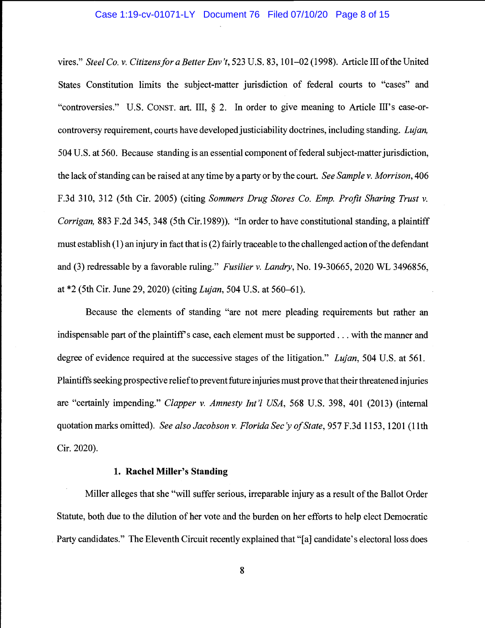#### Case 1:19-cv-01071-LY Document 76 Filed 07/10/20 Page 8 of 15

vires." Steel Co. v. Citizens for a Better Env 't, 523 U.S. 83, 101-02 (1998). Article III of the United States Constitution limits the subject-matter jurisdiction of federal courts to "cases" and "controversies." U.S. CONST. art. III, § 2. In order to give meaning to Article III's case-orcontroversy requirement, courts have developed justiciability doctrines, including standing. Lujan, 504 U.S. at 560. Because standing is an essential component of federal subject-matter jurisdiction, the lack of standing can be raised at any time by a party or by the court. See Sample v. Morrison, 406 F.3d 310, 312 (5th Cir. 2005) (citing Sommers Drug Stores Co. Emp. Profit Sharing Trust v. Corrigan, 883 F.2d 345, 348 (5th Cir.1989)). "In order to have constitutional standing, a plaintiff must establish (1) an injury in fact that is (2) fairly traceable to the challenged action of the defendant and (3) redressable by a favorable ruling." Fusilier v. Landry, No. 19-30665, 2020 WL 3496856, at \*2 (5th Cir. June 29, 2020) (citing Lujan, 504 U.S. at 560-61).

Because the elements of standing "are not mere pleading requirements but rather an indispensable part of the plaintiff's case, each element must be supported. . . with the manner and degree of evidence required at the successive stages of the litigation." Lujan, 504 U.S. at 561. Plaintiffs seeking prospective relief to prevent future injuries must prove that their threatened injuries are "certainly impending." Clapper v. Amnesty Int'l USA, 568 U.S. 398, 401 (2013) (internal quotation marks omitted). See also Jacobson v. Florida Sec'y of State, 957 F.3d 1153, 1201 (11th Cir. 2020).

### 1. Rachel Miller's Standing

Miller alleges that she "will suffer serious, irreparable injury as a result of the Ballot Order Statute, both due to the dilution of her vote and the burden on her efforts to help elect Democratic Party candidates." The Eleventh Circuit recently explained that "[a] candidate's electoral loss does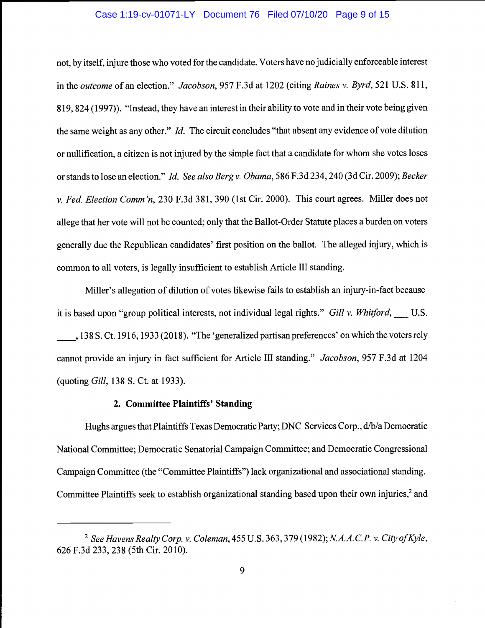### Case 1:19-cv-01071-LY Document 76 Filed 07/10/20 Page 9 of 15

not, by itself, injure those who voted for the candidate. Voters have no judicially enforceable interest in the outcome of an election." Jacobson, 957 F.3d at 1202 (citing Raines v. Byrd, 521 U.S. 811, 819, 824 (1997)). "Instead, they have an interest in their ability to vote and in their vote being given the same weight as any other." Id. The circuit concludes "that absent any evidence of vote dilution or nullification, a citizen is not injured by the simple fact that a candidate for whom she votes loses or stands to lose an election." Id. See also Berg v. Obama, 586 F.3d 234, 240 (3d Cir. 2009); Becker v. Fed. Election Comm 'n, 230 F.3d 381, 390 (1st Cir. 2000). This court agrees. Miller does not allege that her vote will not be counted; only that the Ballot-Order Statute places a burden on voters generally due the Republican candidates' first position on the ballot. The alleged injury, which is common to all voters, is legally insufficient to establish Article III standing.

Miller's allegation of dilution of votes likewise fails to establish an injury-in-fact because it is based upon "group political interests, not individual legal rights." Gill v. Whitford,  $\qquad$  U.S. , 138 S. Ct. 1916, 1933 (2018). "The 'generalized partisan preferences' on which the voters rely cannot provide an injury in fact sufficient for Article III standing." Jacobson, 957 F.3d at 1204 (quoting Gill, 138 S. Ct. at 1933).

#### 2. Committee Plaintiffs' Standing

Hughs argues that Plaintiffs Texas Democratic Party; DNC Services Corp., d/b/a Democratic National Committee; Democratic Senatorial Campaign Commiftee; and Democratic Congressional Campaign Committee (the "Committee Plaintiffs") lack organizational and associational standing. Committee Plaintiffs seek to establish organizational standing based upon their own injuries,<sup>2</sup> and

<sup>&</sup>lt;sup>2</sup> See Havens Realty Corp. v. Coleman, 455 U.S. 363, 379 (1982); N.A.A.C.P. v. City of Kyle, 626 F.3d 233, 238 (5th Cir. 2010).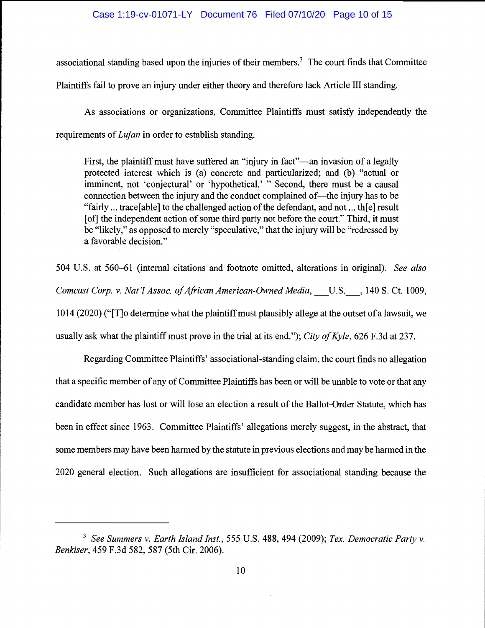### Case 1:19-cv-01071-LY Document 76 Filed 07/10/20 Page 10 of 15

associational standing based upon the injuries of their members.<sup>3</sup> The court finds that Committee Plaintiffs fail to prove an injury under either theory and therefore lack Article III standing.

As associations or organizations, Committee Plaintiffs must satisfy independently the requirements of *Lujan* in order to establish standing.

First, the plaintiff must have suffered an "injury in fact"—an invasion of a legally protected interest which is (a) concrete and particularized; and (b) "actual or imminent, not 'conjectural' or 'hypothetical.' " Second, there must be a causal connection between the injury and the conduct complained of—the injury has to be "fairly ... trace[able] to the challenged action of the defendant, and not ... th[e] result [of] the independent action of some third party not before the court." Third, it must be "likely," as opposed to merely "speculative," that the injury will be "redressed by a favorable decision."

504 U.S. at 560–61 (internal citations and footnote omitted, alterations in original). See also Comcast Corp. v. Nat'l Assoc. of African American-Owned Media, U.S., 140 S. Ct. 1009, 1014 (2020) ("[T]o determine what the plaintiff must plausibly allege at the outset of a lawsuit, we usually ask what the plaintiff must prove in the trial at its end."); City of Kyle, 626 F.3d at 237.

Regarding Committee Plaintiffs' associational-standing claim, the court finds no allegation that a specific member of any of Committee Plaintiffs has been or will be unable to vote or that any candidate member has lost or will lose an election a result of the Ballot-Order Statute, which has been in effect since 1963. Committee Plaintiffs' allegations merely suggest, in the abstract, that some members may have been harmed by the statute in previous elections and may be harmed in the 2020 general election. Such allegations are insufficient for associational standing because the

 $3$  See Summers v. Earth Island Inst., 555 U.S. 488, 494 (2009); Tex. Democratic Party v. Benkiser, 459 F.3d 582, 587 (5th Cir. 2006).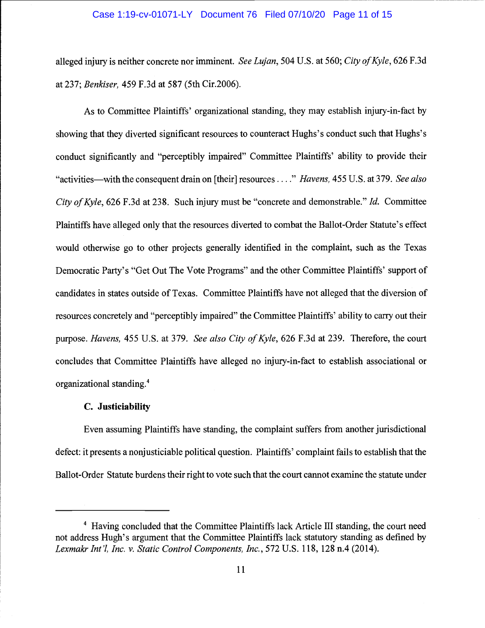### Case 1:19-cv-01071-LY Document 76 Filed 07/10/20 Page 11 of 15

alleged injury is neither concrete nor imminent. See Lujan, 504 U.S. at 560; City of Kyle, 626 F.3d at 237; Benkiser, 459 F.3d at 587 (5th Cir.2006).

As to Committee Plaintiffs' organizational standing, they may establish injury-in-fact by showing that they diverted significant resources to counteract Hughs's conduct such that Hughs's conduct significantly and "perceptibly impaired" Committee Plaintiffs' ability to provide their "activities—with the consequent drain on [their] resources...." Havens, 455 U.S. at 379. See also City of Kyle, 626 F.3d at 238. Such injury must be "concrete and demonstrable." Id. Committee Plaintiffs have alleged only that the resources diverted to combat the Ballot-Order Statute's effect would otherwise go to other projects generally identified in the complaint, such as the Texas Democratic Party's "Get Out The Vote Programs" and the other Committee Plaintiffs' support of candidates in states outside of Texas. Committee Plaintiffs have not alleged that the diversion of resources concretely and "perceptibly impaired" the Committee Plaintiffs' ability to carry out their purpose. Havens, 455 U.S. at 379. See also City of Kyle, 626 F.3d at 239. Therefore, the court concludes that Committee Plaintiffs have alleged no injury-in-fact to establish associational or organizational standing.4

#### C. Justiciability

Even assuming Plaintiffs have standing, the complaint suffers from another jurisdictional defect: it presents a nonjusticiable political question. Plaintiffs' complaint fails to establish that the Ballot-Order Statute burdens their right to vote such that the court cannot examine the statute under

<sup>&</sup>lt;sup>4</sup> Having concluded that the Committee Plaintiffs lack Article III standing, the court need not address Hugh's argument that the Committee Plaintiffs lack statutory standing as defined by Lexmakr Int'l, Inc. v. Static Control Components, Inc., 572 U.S. 118, 128 n.4 (2014).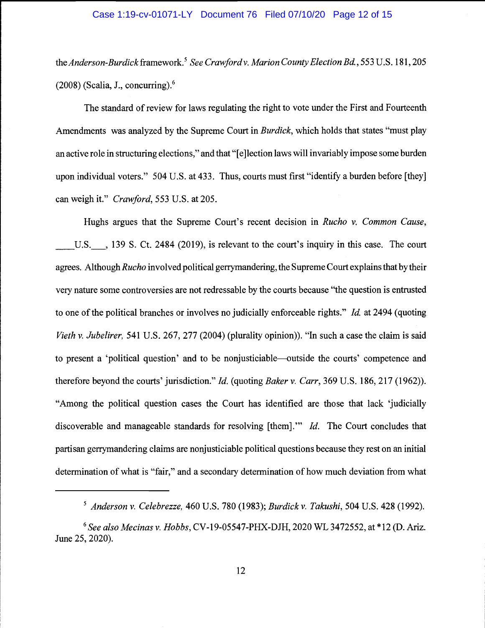### Case 1:19-cv-01071-LY Document 76 Filed 07/10/20 Page 12 of 15

the Anderson-Burdick framework.<sup>5</sup> See Crawford v. Marion County Election Bd., 553 U.S. 181, 205  $(2008)$  (Scalia, J., concurring).<sup>6</sup>

The standard of review for laws regulating the right to vote under the First and Fourteenth Amendments was analyzed by the Supreme Court in Burdick, which holds that states "must play an active role in structuring elections," and that "[e]lection laws will invariably impose some burden upon individual voters." 504 U.S. at 433. Thus, courts must first "identify a burden before [they] can weigh it." Crawford, 553 U.S. at 205.

Hughs argues that the Supreme Court's recent decision in Rucho v. Common Cause, U.S., 139 S. Ct. 2484 (2019), is relevant to the court's inquiry in this case. The court agrees. Although Rucho involved political gerrymandering, the Supreme Court explains that by their very nature some controversies are not redressable by the courts because "the question is entrusted to one of the political branches or involves no judicially enforceable rights." Id. at 2494 (quoting Vieth v. Jubelirer, 541 U.S. 267, 277 (2004) (plurality opinion)). "In such a case the claim is said to present a 'political question' and to be nonjusticiable—outside the courts' competence and therefore beyond the courts' jurisdiction." *Id.* (quoting *Baker v. Carr*, 369 U.S. 186, 217 (1962)). "Among the political question cases the Court has identified are those that lack 'judicially discoverable and manageable standards for resolving [them]."" Id. The Court concludes that partisan gerrymandering claims are nonjusticiable political questions because they rest on an initial determination of what is "fair," and a secondary determination of how much deviation from what

 $^5$  Anderson v. Celebrezze, 460 U.S. 780 (1983); Burdick v. Takushi, 504 U.S. 428 (1992).

 $6$  See also Mecinas v. Hobbs, CV-19-05547-PHX-DJH, 2020 WL 3472552, at  $*12$  (D. Ariz. June 25, 2020).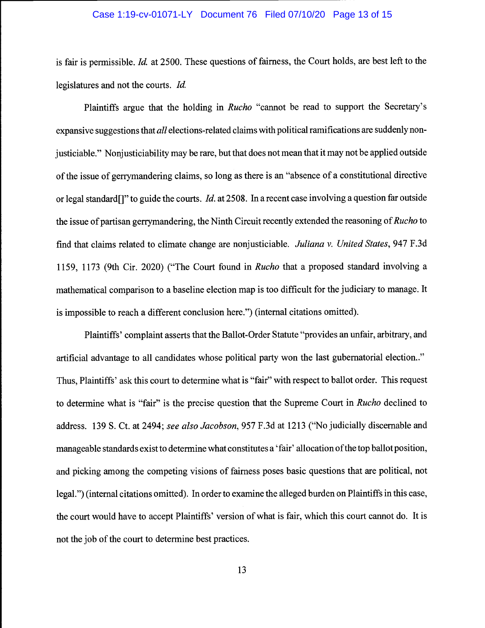# Case 1:19-cv-01071-LY Document 76 Filed 07/10/20 Page 13 of 15

is fair is permissible. Id. at 2500. These questions of fairness, the Court holds, are best left to the legislatures and not the courts. Id.

Plaintiffs argue that the holding in Rucho "cannot be read to support the Secretary's expansive suggestions that all elections-related claims with political ramifications are suddenly nonjusticiable." Nonjusticiability may be rare, but that does not mean that it may not be applied outside of the issue of gerrymandering claims, so long as there is an "absence of a constitutional directive or legal standard<sup>[]"</sup> to guide the courts. *Id.* at 2508. In a recent case involving a question far outside the issue of partisan gerrymandering, the Ninth Circuit recently extended the reasoning of Rucho to find that claims related to climate change are nonjusticiable. Juliana v. United States, 947 F.3d 1159, 1173 (9th Cir. 2020) ("The Court found in Rucho that a proposed standard involving a mathematical comparison to a baseline election map is too difficult for the judiciary to manage. It is impossible to reach a different conclusion here.") (internal citations omitted).

Plaintiffs' complaint asserts that the Ballot-Order Statute "provides an unfair, arbitrary, and artificial advantage to all candidates whose political party won the last gubernatorial election.." Thus, Plaintiffs' ask this court to determine what is "fair" with respect to ballot order. This request to determine what is "fair" is the precise question that the Supreme Court in Rucho declined to address. 139 5. Ct. at 2494; see also Jacobson, 957 F.3d at 1213 ("No judicially discernable and manageable standards exist to determine what constitutes a 'fair' allocation of the top ballot position, and picking among the competing visions of fairness poses basic questions that are political, not legal.") (internal citations omitted). In order to examine the alleged burden on Plaintiffs in this case, the court would have to accept Plaintiffs' version of what is fair, which this court cannot do. It is not the job of the court to determine best practices.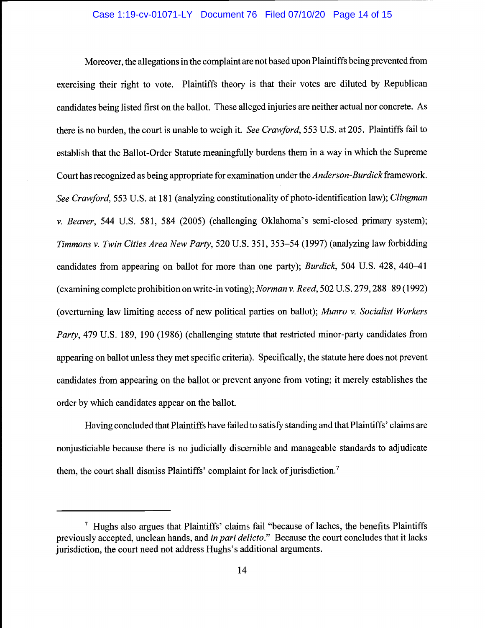### Case 1:19-cv-01071-LY Document 76 Filed 07/10/20 Page 14 of 15

Moreover, the allegations in the complaint are not based upon Plaintiffs being prevented from exercising their right to vote. Plaintiffs theory is that their votes are diluted by Republican candidates being listed first on the ballot. These alleged injuries are neither actual nor concrete. As there is no burden, the court is unable to weigh it. See Crawford, 553 U.S. at 205. Plaintiffs fail to establish that the Ballot-Order Statute meaningfully burdens them in a way in which the Supreme Court has recognized as being appropriate for examination under the *Anderson-Burdick* framework. See Crawford, 553 U.S. at 181 (analyzing constitutionality of photo-identification law); Clingman v. Beaver, 544 U.S. 581, 584 (2005) (challenging Oklahoma's semi-closed primary system); Timmons v. Twin Cities Area New Party, 520 U.S. 351, 353-54 (1997) (analyzing law forbidding candidates from appearing on ballot for more than one party); Burdick, 504 U.S. 428, 440-41 (examining complete prohibition on write-in voting); Norman v. Reed, 502 U.S. 279,288-89(1992) (overturning law limiting access of new political parties on ballot); Munro v. Socialist Workers Party, 479 U.S. 189, 190 (1986) (challenging statute that restricted minor-party candidates from appearing on ballot unless they met specific criteria). Specifically, the statute here does not prevent candidates from appearing on the ballot or prevent anyone from voting; it merely establishes the order by which candidates appear on the ballot.

Having concluded that Plaintiffs have failed to satisfy standing and that Plaintiffs' claims are nonjusticiable because there is no judicially discernible and manageable standards to adjudicate them, the court shall dismiss Plaintiffs' complaint for lack of jurisdiction.<sup>7</sup>

 $\frac{7}{1}$  Hughs also argues that Plaintiffs' claims fail "because of laches, the benefits Plaintiffs previously accepted, unclean hands, and *in pari delicto*." Because the court concludes that it lacks jurisdiction, the court need not address Hughs's additional arguments.